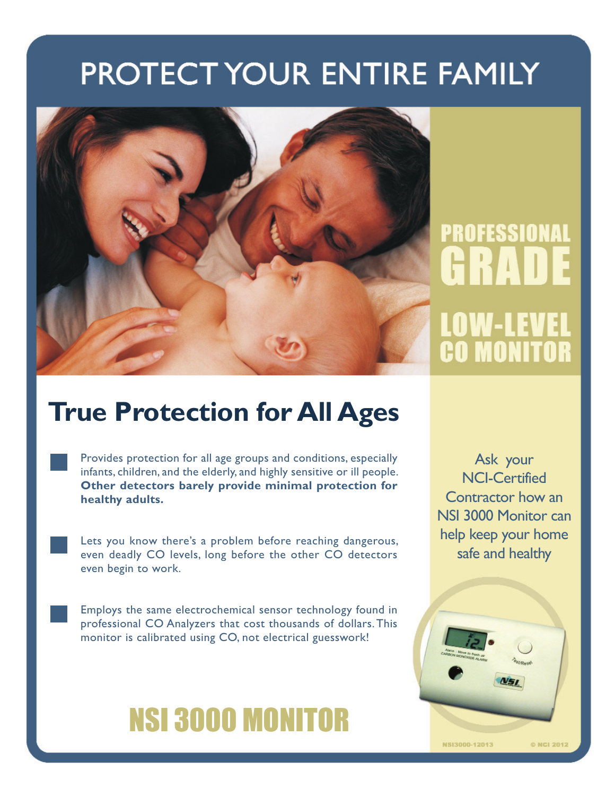## PROTECT YOUR ENTIRE FAMILY



# PROFESSIONAL HRAT LOW-LEVEI **CO MONITOR**

### **True Protection for All Ages**

Provides protection for all age groups and conditions, especially infants, children, and the elderly, and highly sensitive or ill people. **Other detectors barely provide minimal protection for healthy adults.**

Lets you know there's a problem before reaching dangerous, even deadly CO levels, long before the other CO detectors even begin to work.

Employs the same electrochemical sensor technology found in professional CO Analyzers that cost thousands of dollars. This monitor is calibrated using CO, not electrical guesswork!

## NSI 3000 MONITOR

Ask your NCI-Certified Contractor how an NSI 3000 Monitor can help keep your home safe and healthy

© NCI 2012

NSI3000-12013